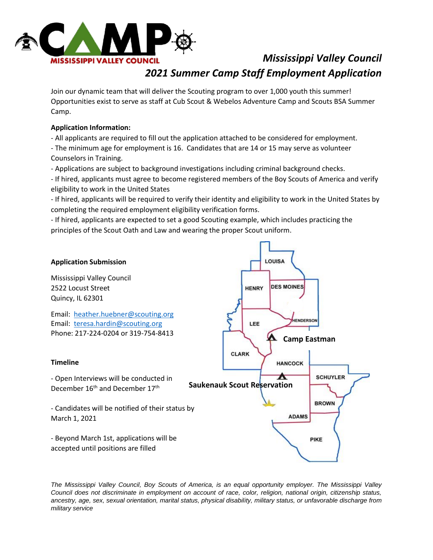

# *Mississippi Valley Council 2021 Summer Camp Staff Employment Application*

Join our dynamic team that will deliver the Scouting program to over 1,000 youth this summer! Opportunities exist to serve as staff at Cub Scout & Webelos Adventure Camp and Scouts BSA Summer Camp.

### **Application Information:**

- All applicants are required to fill out the application attached to be considered for employment.

- The minimum age for employment is 16. Candidates that are 14 or 15 may serve as volunteer Counselors in Training.
- Applications are subject to background investigations including criminal background checks.

- If hired, applicants must agree to become registered members of the Boy Scouts of America and verify eligibility to work in the United States

- If hired, applicants will be required to verify their identity and eligibility to work in the United States by completing the required employment eligibility verification forms.

- If hired, applicants are expected to set a good Scouting example, which includes practicing the principles of the Scout Oath and Law and wearing the proper Scout uniform.



*The Mississippi Valley Council, Boy Scouts of America, is an equal opportunity employer. The Mississippi Valley Council does not discriminate in employment on account of race, color, religion, national origin, citizenship status, ancestry, age, sex, sexual orientation, marital status, physical disability, military status, or unfavorable discharge from military service*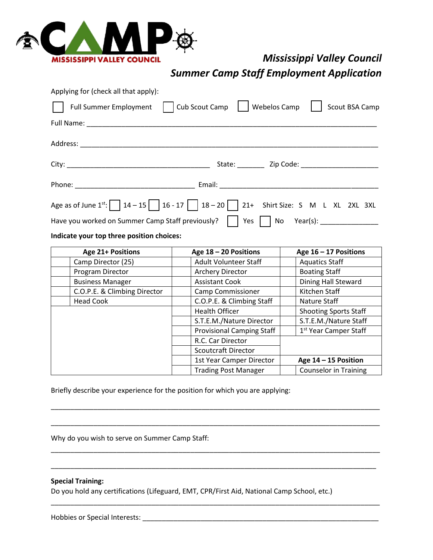

## *Mississippi Valley Council*

*Summer Camp Staff Employment Application*

| Applying for (check all that apply):             |                                                                                                      |
|--------------------------------------------------|------------------------------------------------------------------------------------------------------|
|                                                  | Full Summer Employment   Cub Scout Camp     Webelos Camp  <br>Scout BSA Camp                         |
|                                                  |                                                                                                      |
|                                                  |                                                                                                      |
|                                                  |                                                                                                      |
|                                                  |                                                                                                      |
|                                                  | Age as of June $1^{st}$ : $\boxed{14-15}$ $16-17$ $\boxed{18-20}$ $21+$ Shirt Size: S M L XL 2XL 3XL |
| Have you worked on Summer Camp Staff previously? | Yes     $No$ Year(s): ________________                                                               |

#### **Indicate your top three position choices:**

| <b>Age 21+ Positions</b>     | Age $18 - 20$ Positions          | Age $16 - 17$ Positions           |  |
|------------------------------|----------------------------------|-----------------------------------|--|
| Camp Director (25)           | <b>Adult Volunteer Staff</b>     | <b>Aquatics Staff</b>             |  |
| Program Director             | <b>Archery Director</b>          | <b>Boating Staff</b>              |  |
| <b>Business Manager</b>      | <b>Assistant Cook</b>            | Dining Hall Steward               |  |
| C.O.P.E. & Climbing Director | <b>Camp Commissioner</b>         | Kitchen Staff                     |  |
| <b>Head Cook</b>             | C.O.P.E. & Climbing Staff        | Nature Staff                      |  |
|                              | <b>Health Officer</b>            | <b>Shooting Sports Staff</b>      |  |
|                              | S.T.E.M./Nature Director         | S.T.E.M./Nature Staff             |  |
|                              | <b>Provisional Camping Staff</b> | 1 <sup>st</sup> Year Camper Staff |  |
|                              | R.C. Car Director                |                                   |  |
|                              | <b>Scoutcraft Director</b>       |                                   |  |
|                              | 1st Year Camper Director         | Age $14 - 15$ Position            |  |
|                              | <b>Trading Post Manager</b>      | <b>Counselor in Training</b>      |  |

\_\_\_\_\_\_\_\_\_\_\_\_\_\_\_\_\_\_\_\_\_\_\_\_\_\_\_\_\_\_\_\_\_\_\_\_\_\_\_\_\_\_\_\_\_\_\_\_\_\_\_\_\_\_\_\_\_\_\_\_\_\_\_\_\_\_\_\_\_\_\_\_\_\_\_\_\_\_\_\_\_\_\_\_\_

\_\_\_\_\_\_\_\_\_\_\_\_\_\_\_\_\_\_\_\_\_\_\_\_\_\_\_\_\_\_\_\_\_\_\_\_\_\_\_\_\_\_\_\_\_\_\_\_\_\_\_\_\_\_\_\_\_\_\_\_\_\_\_\_\_\_\_\_\_\_\_\_\_\_\_\_\_\_\_\_\_\_\_\_\_

\_\_\_\_\_\_\_\_\_\_\_\_\_\_\_\_\_\_\_\_\_\_\_\_\_\_\_\_\_\_\_\_\_\_\_\_\_\_\_\_\_\_\_\_\_\_\_\_\_\_\_\_\_\_\_\_\_\_\_\_\_\_\_\_\_\_\_\_\_\_\_\_\_\_\_\_\_\_\_\_\_\_\_\_\_

\_\_\_\_\_\_\_\_\_\_\_\_\_\_\_\_\_\_\_\_\_\_\_\_\_\_\_\_\_\_\_\_\_\_\_\_\_\_\_\_\_\_\_\_\_\_\_\_\_\_\_\_\_\_\_\_\_\_\_\_\_\_\_\_\_\_\_\_\_\_\_\_\_\_\_\_\_\_\_\_\_\_\_\_

\_\_\_\_\_\_\_\_\_\_\_\_\_\_\_\_\_\_\_\_\_\_\_\_\_\_\_\_\_\_\_\_\_\_\_\_\_\_\_\_\_\_\_\_\_\_\_\_\_\_\_\_\_\_\_\_\_\_\_\_\_\_\_\_\_\_\_\_\_\_\_\_\_\_\_\_\_\_\_\_\_\_\_\_\_

Briefly describe your experience for the position for which you are applying:

|  |  |  |  | Why do you wish to serve on Summer Camp Staff: |
|--|--|--|--|------------------------------------------------|
|--|--|--|--|------------------------------------------------|

### **Special Training:**

Do you hold any certifications (Lifeguard, EMT, CPR/First Aid, National Camp School, etc.)

Hobbies or Special Interests: **with a set of the set of the set of the set of the set of the set of the set of the set of the set of the set of the set of the set of the set of the set of the set of the set of the set of t**